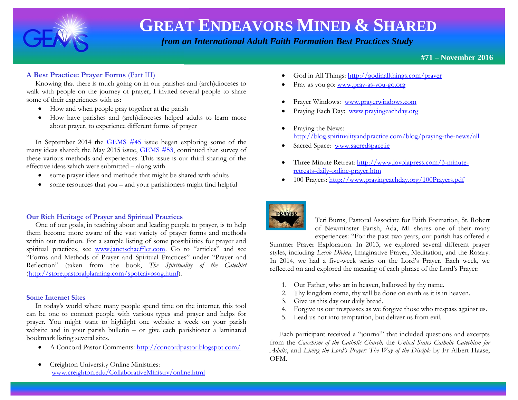

 *from an International Adult Faith Formation Best Practices Study*

**#71 – November 2016**

### **A Best Practice: Prayer Forms** (Part III)

 Knowing that there is much going on in our parishes and (arch)dioceses to walk with people on the journey of prayer, I invited several people to share some of their experiences with us:

- How and when people pray together at the parish
- How have parishes and (arch)dioceses helped adults to learn more about prayer, to experience different forms of prayer

 In September 2014 the [GEMS #45](http://www.janetschaeffler.com/GEMS__45.pdf) issue began exploring some of the many ideas shared; the May 2015 issue, [GEMS #53,](http://www.janetschaeffler.com/GEMS__53.pdf) continued that survey of these various methods and experiences. This issue is our third sharing of the effective ideas which were submitted – along with

- some prayer ideas and methods that might be shared with adults
- some resources that you and your parishioners might find helpful

### **Our Rich Heritage of Prayer and Spiritual Practices**

 One of our goals, in teaching about and leading people to prayer, is to help them become more aware of the vast variety of prayer forms and methods within our tradition. For a sample listing of some possibilities for prayer and spiritual practices, see [www.janetschaeffler.com](http://www.janetschaeffler.com/). Go to "articles" and see "Forms and Methods of Prayer and Spiritual Practices" under "Prayer and Reflection" (taken from the book, *The Spirituality of the Catechist*  [\(http://store.pastoralplanning.com/spofcaiyosog.html\)](http://store.pastoralplanning.com/spofcaiyosog.html).

#### **Some Internet Sites**

 In today's world where many people spend time on the internet, this tool can be one to connect people with various types and prayer and helps for prayer. You might want to highlight one website a week on your parish website and in your parish bulletin – or give each parishioner a laminated bookmark listing several sites.

- A Concord Pastor Comments:<http://concordpastor.blogspot.com/>
- Creighton University Online Ministries: [www.creighton.edu/CollaborativeMinistry/online.html](http://www.creighton.edu/CollaborativeMinistry/online.html)
- God in All Things: <http://godinallthings.com/prayer>
- Pray as you go: [www.pray-as-you-go.org](http://www.pray-as-you-go.org/)
- Prayer Windows: [www.prayerwindows.com](http://www.prayerwindows.com/)
- Praying Each Day: [www.prayingeachday.org](http://www.prayingeachday.org/)
- Praying the News: <http://blog.spiritualityandpractice.com/blog/praying-the-news/all>
- Sacred Space: [www.sacredspace.ie](http://www.sacredspace.ie/)
- Three Minute Retreat: [http://www.loyolapress.com/3-minute](http://www.loyolapress.com/3-minute-retreats-daily-online-prayer.htm)[retreats-daily-online-prayer.htm](http://www.loyolapress.com/3-minute-retreats-daily-online-prayer.htm)
- 100 Prayers: <http://www.prayingeachday.org/100Prayers.pdf>



Teri Burns, Pastoral Associate for Faith Formation, St. Robert of Newminster Parish, Ada, MI shares one of their many experiences: "For the past two years, our parish has offered a

Summer Prayer Exploration. In 2013, we explored several different prayer styles, including *Lectio Divina*, Imaginative Prayer, Meditation, and the Rosary. In 2014, we had a five-week series on the Lord's Prayer. Each week, we reflected on and explored the meaning of each phrase of the Lord's Prayer:

- 1. Our Father, who art in heaven, hallowed by thy name.
- 2. Thy kingdom come, thy will be done on earth as it is in heaven.
- 3. Give us this day our daily bread.
- 4. Forgive us our trespasses as we forgive those who trespass against us.
- 5. Lead us not into temptation, but deliver us from evil.

 Each participant received a "journal" that included questions and excerpts from the *Catechism of the Catholic Church,* the *United States Catholic Catechism for Adults*, and *Living the Lord's Prayer: The Way of the Disciple* by Fr Albert Haase, OFM.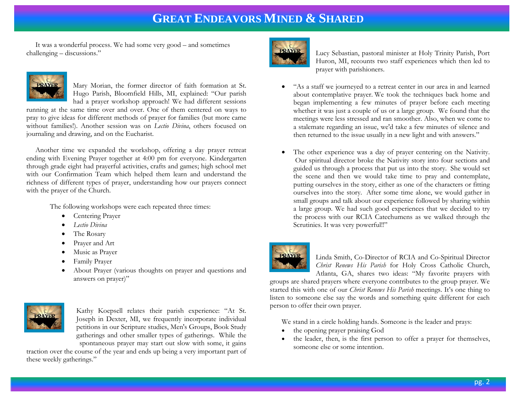It was a wonderful process. We had some very good – and sometimes challenging – discussions."



Mary Morian, the former director of faith formation at St. Hugo Parish, Bloomfield Hills, MI, explained: "Our parish had a prayer workshop approach! We had different sessions

running at the same time over and over. One of them centered on ways to pray to give ideas for different methods of prayer for families (but more came without families!). Another session was on *Lectio Divina*, others focused on journaling and drawing, and on the Eucharist.

 Another time we expanded the workshop, offering a day prayer retreat ending with Evening Prayer together at 4:00 pm for everyone. Kindergarten through grade eight had prayerful activities, crafts and games; high school met with our Confirmation Team which helped them learn and understand the richness of different types of prayer, understanding how our prayers connect with the prayer of the Church.

The following workshops were each repeated three times:

- Centering Prayer
- *Lectio Divina*
- The Rosary
- Prayer and Art
- Music as Prayer
- Family Prayer
- About Prayer (various thoughts on prayer and questions and answers on prayer)"



Kathy Koepsell relates their parish experience: "At St. Joseph in Dexter, MI, we frequently incorporate individual petitions in our Scripture studies, Men's Groups, Book Study gatherings and other smaller types of gatherings. While the spontaneous prayer may start out slow with some, it gains

traction over the course of the year and ends up being a very important part of these weekly gatherings."



Lucy Sebastian, pastoral minister at Holy Trinity Parish, Port Huron, MI, recounts two staff experiences which then led to prayer with parishioners.

- "As a staff we journeyed to a retreat center in our area in and learned about contemplative prayer. We took the techniques back home and began implementing a few minutes of prayer before each meeting whether it was just a couple of us or a large group. We found that the meetings were less stressed and ran smoother. Also, when we come to a stalemate regarding an issue, we'd take a few minutes of silence and then returned to the issue usually in a new light and with answers."
- The other experience was a day of prayer centering on the Nativity. Our spiritual director broke the Nativity story into four sections and guided us through a process that put us into the story. She would set the scene and then we would take time to pray and contemplate, putting ourselves in the story, either as one of the characters or fitting ourselves into the story. After some time alone, we would gather in small groups and talk about our experience followed by sharing within a large group. We had such good experiences that we decided to try the process with our RCIA Catechumens as we walked through the Scrutinies. It was very powerful!!"



Linda Smith, Co-Director of RCIA and Co-Spiritual Director *Christ Renews His Parish* for Holy Cross Catholic Church, Atlanta, GA, shares two ideas: "My favorite prayers with

groups are shared prayers where everyone contributes to the group prayer. We started this with one of our *Christ Renews His Parish* meetings. It's one thing to listen to someone else say the words and something quite different for each person to offer their own prayer.

We stand in a circle holding hands. Someone is the leader and prays:

- the opening prayer praising God
- the leader, then, is the first person to offer a prayer for themselves, someone else or some intention.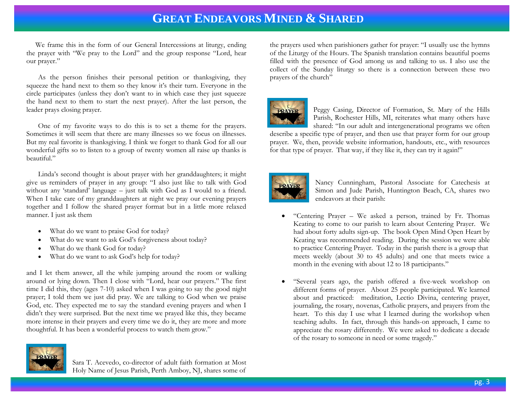We frame this in the form of our General Intercessions at liturgy, ending the prayer with "We pray to the Lord" and the group response "Lord, hear our prayer."

As the person finishes their personal petition or thanksgiving, they squeeze the hand next to them so they know it's their turn. Everyone in the circle participates (unless they don't want to in which case they just squeeze the hand next to them to start the next prayer). After the last person, the leader prays closing prayer.

One of my favorite ways to do this is to set a theme for the prayers. Sometimes it will seem that there are many illnesses so we focus on illnesses. But my real favorite is thanksgiving. I think we forget to thank God for all our wonderful gifts so to listen to a group of twenty women all raise up thanks is beautiful."

Linda's second thought is about prayer with her granddaughters; it might give us reminders of prayer in any group: "I also just like to talk with God without any 'standard' language – just talk with God as I would to a friend. When I take care of my granddaughters at night we pray our evening prayers together and I follow the shared prayer format but in a little more relaxed manner. I just ask them

- What do we want to praise God for today?
- What do we want to ask God's forgiveness about today?
- What do we thank God for today?
- What do we want to ask God's help for today?

and I let them answer, all the while jumping around the room or walking around or lying down. Then I close with "Lord, hear our prayers." The first time I did this, they (ages 7-10) asked when I was going to say the good night prayer; I told them we just did pray. We are talking to God when we praise God, etc. They expected me to say the standard evening prayers and when I didn't they were surprised. But the next time we prayed like this, they became more intense in their prayers and every time we do it, they are more and more thoughtful. It has been a wonderful process to watch them grow."



Sara T. Acevedo, co-director of adult faith formation at Most Holy Name of Jesus Parish, Perth Amboy, NJ, shares some of

the prayers used when parishioners gather for prayer: "I usually use the hymns of the Liturgy of the Hours. The Spanish translation contains beautiful poems filled with the presence of God among us and talking to us. I also use the collect of the Sunday liturgy so there is a connection between these two prayers of the church"



Peggy Casing, Director of Formation, St. Mary of the Hills Parish, Rochester Hills, MI, reiterates what many others have shared: "In our adult and intergenerational programs we often

describe a specific type of prayer, and then use that prayer form for our group prayer. We, then, provide website information, handouts, etc., with resources for that type of prayer. That way, if they like it, they can try it again!"



Nancy Cunningham, Pastoral Associate for Catechesis at Simon and Jude Parish, Huntington Beach, CA, shares two endeavors at their parish:

- "Centering Prayer We asked a person, trained by Fr. Thomas Keating to come to our parish to learn about Centering Prayer. We had about forty adults sign-up. The book Open Mind Open Heart by Keating was recommended reading. During the session we were able to practice Centering Prayer. Today in the parish there is a group that meets weekly (about 30 to 45 adults) and one that meets twice a month in the evening with about 12 to 18 participants."
- "Several years ago, the parish offered a five-week workshop on different forms of prayer. About 25 people participated. We learned about and practiced: meditation, Lectio Divina, centering prayer, journaling, the rosary, novenas, Catholic prayers, and prayers from the heart. To this day I use what I learned during the workshop when teaching adults. In fact, through this hands-on approach, I came to appreciate the rosary differently. We were asked to dedicate a decade of the rosary to someone in need or some tragedy."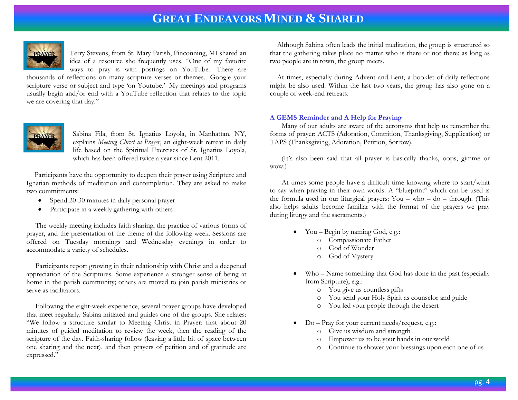

Terry Stevens, from St. Mary Parish, Pinconning, MI shared an idea of a resource she frequently uses. "One of my favorite ways to pray is with postings on YouTube. There are

thousands of reflections on many scripture verses or themes. Google your scripture verse or subject and type 'on Youtube.' My meetings and programs usually begin and/or end with a YouTube reflection that relates to the topic we are covering that day."



Sabina Fila, from St. Ignatius Loyola, in Manhattan, NY, explains *Meeting Christ in Prayer*, an eight-week retreat in daily life based on the Spiritual Exercises of St. Ignatius Loyola, which has been offered twice a year since Lent 2011.

 Participants have the opportunity to deepen their prayer using Scripture and Ignatian methods of meditation and contemplation. They are asked to make two commitments:

- Spend 20-30 minutes in daily personal prayer
- Participate in a weekly gathering with others

 The weekly meeting includes faith sharing, the practice of various forms of prayer, and the presentation of the theme of the following week. Sessions are offered on Tuesday mornings and Wednesday evenings in order to accommodate a variety of schedules.

 Participants report growing in their relationship with Christ and a deepened appreciation of the Scriptures. Some experience a stronger sense of being at home in the parish community; others are moved to join parish ministries or serve as facilitators.

 Following the eight-week experience, several prayer groups have developed that meet regularly. Sabina initiated and guides one of the groups. She relates: "We follow a structure similar to Meeting Christ in Prayer: first about 20 minutes of guided meditation to review the week, then the reading of the scripture of the day. Faith-sharing follow (leaving a little bit of space between one sharing and the next), and then prayers of petition and of gratitude are expressed."

 Although Sabina often leads the initial meditation, the group is structured so that the gathering takes place no matter who is there or not there; as long as two people are in town, the group meets.

 At times, especially during Advent and Lent, a booklet of daily reflections might be also used. Within the last two years, the group has also gone on a couple of week-end retreats.

#### **A GEMS Reminder and A Help for Praying**

Many of our adults are aware of the acronyms that help us remember the forms of prayer: ACTS (Adoration, Contrition, Thanksgiving, Supplication) or TAPS (Thanksgiving, Adoration, Petition, Sorrow).

(It's also been said that all prayer is basically thanks, oops, gimme or wow.)

At times some people have a difficult time knowing where to start/what to say when praying in their own words. A "blueprint" which can be used is the formula used in our liturgical prayers: You – who – do – through. (This also helps adults become familiar with the format of the prayers we pray during liturgy and the sacraments.)

- You Begin by naming God, e.g.:
	- o Compassionate Father
	- o God of Wonder
	- o God of Mystery
- Who Name something that God has done in the past (especially from Scripture), e.g.:
	- o You give us countless gifts
	- o You send your Holy Spirit as counselor and guide
	- o You led your people through the desert
- Do Pray for your current needs/request, e.g.:
	- o Give us wisdom and strength
	- o Empower us to be your hands in our world
	- o Continue to shower your blessings upon each one of us